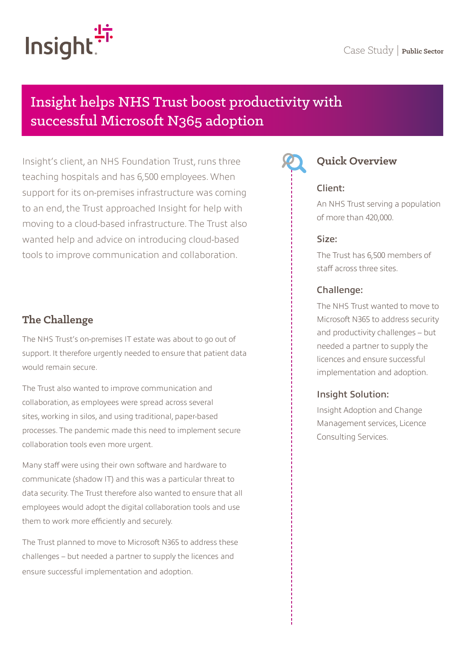# Insight helps NHS Trust boost productivity with successful Microsoft N365 adoption

Insight's client, an NHS Foundation Trust, runs three teaching hospitals and has 6,500 employees. When support for its on-premises infrastructure was coming to an end, the Trust approached Insight for help with moving to a cloud-based infrastructure. The Trust also wanted help and advice on introducing cloud-based tools to improve communication and collaboration.

## **The Challenge**

The NHS Trust's on-premises IT estate was about to go out of support. It therefore urgently needed to ensure that patient data would remain secure.

The Trust also wanted to improve communication and collaboration, as employees were spread across several sites, working in silos, and using traditional, paper-based processes. The pandemic made this need to implement secure collaboration tools even more urgent.

Many staff were using their own software and hardware to communicate (shadow IT) and this was a particular threat to data security. The Trust therefore also wanted to ensure that all employees would adopt the digital collaboration tools and use them to work more efficiently and securely.

The Trust planned to move to Microsoft N365 to address these challenges – but needed a partner to supply the licences and ensure successful implementation and adoption.



## **Quick Overview**

#### Client:

An NHS Trust serving a population of more than 420,000.

#### Size:

The Trust has 6,500 members of staff across three sites.

#### Challenge:

The NHS Trust wanted to move to Microsoft N365 to address security and productivity challenges – but needed a partner to supply the licences and ensure successful implementation and adoption.

### Insight Solution:

Insight Adoption and Change Management services, Licence Consulting Services.